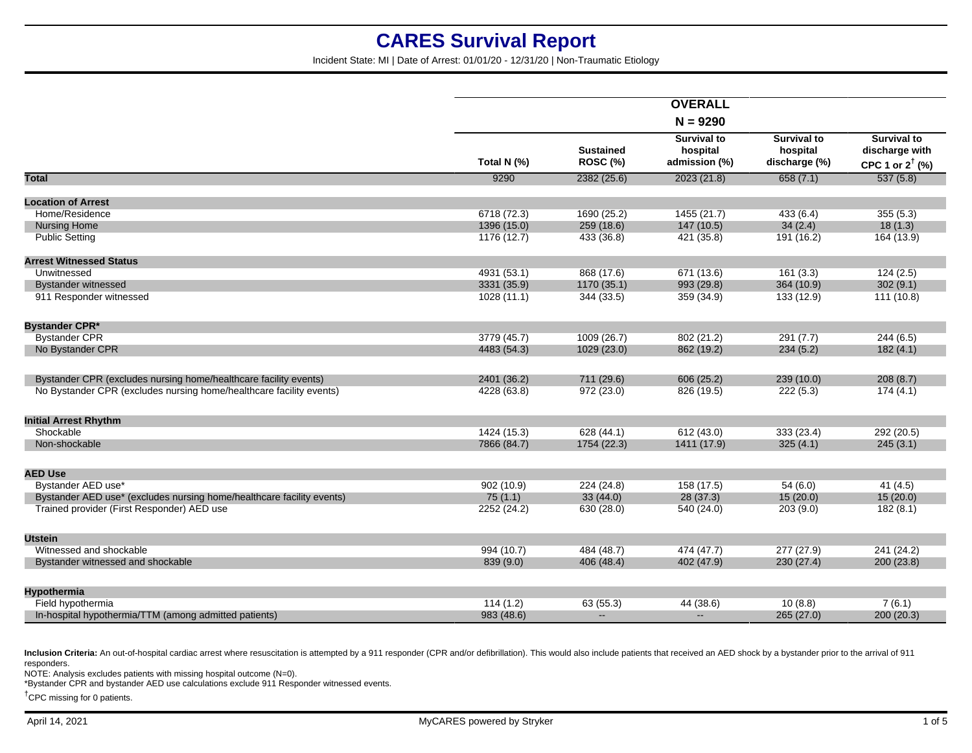Incident State: MI | Date of Arrest: 01/01/20 - 12/31/20 | Non-Traumatic Etiology

|                                                                       |             |                                     | <b>OVERALL</b>                                  |                                                 |                                                                    |
|-----------------------------------------------------------------------|-------------|-------------------------------------|-------------------------------------------------|-------------------------------------------------|--------------------------------------------------------------------|
|                                                                       |             |                                     |                                                 |                                                 |                                                                    |
|                                                                       | Total N (%) | <b>Sustained</b><br><b>ROSC (%)</b> | <b>Survival to</b><br>hospital<br>admission (%) | <b>Survival to</b><br>hospital<br>discharge (%) | <b>Survival to</b><br>discharge with<br>CPC 1 or $2^{\dagger}$ (%) |
| Total                                                                 | 9290        | 2382 (25.6)                         | 2023 (21.8)                                     | 658(7.1)                                        | 537(5.8)                                                           |
| <b>Location of Arrest</b>                                             |             |                                     |                                                 |                                                 |                                                                    |
| Home/Residence                                                        | 6718 (72.3) | 1690 (25.2)                         | 1455 (21.7)                                     | 433(6.4)                                        | 355(5.3)                                                           |
| <b>Nursing Home</b>                                                   | 1396 (15.0) | 259(18.6)                           | 147 (10.5)                                      | 34(2.4)                                         | 18(1.3)                                                            |
| <b>Public Setting</b>                                                 | 1176 (12.7) | 433 (36.8)                          | 421 (35.8)                                      | 191 (16.2)                                      | 164 (13.9)                                                         |
| <b>Arrest Witnessed Status</b>                                        |             |                                     |                                                 |                                                 |                                                                    |
| Unwitnessed                                                           | 4931 (53.1) | 868 (17.6)                          | 671 (13.6)                                      | 161(3.3)                                        | 124(2.5)                                                           |
| <b>Bystander witnessed</b>                                            | 3331 (35.9) | 1170 (35.1)                         | 993 (29.8)                                      | 364 (10.9)                                      | 302(9.1)                                                           |
| 911 Responder witnessed                                               | 1028(11.1)  | 344 (33.5)                          | 359 (34.9)                                      | 133 (12.9)                                      | 111 (10.8)                                                         |
| <b>Bystander CPR*</b>                                                 |             |                                     |                                                 |                                                 |                                                                    |
| <b>Bystander CPR</b>                                                  | 3779 (45.7) | 1009 (26.7)                         | 802 (21.2)                                      | 291(7.7)                                        | 244(6.5)                                                           |
| No Bystander CPR                                                      | 4483 (54.3) | 1029 (23.0)                         | 862 (19.2)                                      | 234(5.2)                                        | 182(4.1)                                                           |
| Bystander CPR (excludes nursing home/healthcare facility events)      | 2401 (36.2) | 711 (29.6)                          | 606 (25.2)                                      | 239 (10.0)                                      | 208(8.7)                                                           |
| No Bystander CPR (excludes nursing home/healthcare facility events)   | 4228 (63.8) | 972 (23.0)                          | 826 (19.5)                                      | 222(5.3)                                        | 174(4.1)                                                           |
| <b>Initial Arrest Rhythm</b>                                          |             |                                     |                                                 |                                                 |                                                                    |
| Shockable                                                             | 1424 (15.3) | 628 (44.1)                          | 612(43.0)                                       | 333 (23.4)                                      | 292 (20.5)                                                         |
| Non-shockable                                                         | 7866 (84.7) | 1754 (22.3)                         | 1411 (17.9)                                     | 325(4.1)                                        | 245(3.1)                                                           |
| <b>AED Use</b>                                                        |             |                                     |                                                 |                                                 |                                                                    |
| Bystander AED use*                                                    | 902(10.9)   | 224 (24.8)                          | 158(17.5)                                       | 54(6.0)                                         | 41(4.5)                                                            |
| Bystander AED use* (excludes nursing home/healthcare facility events) | 75(1.1)     | 33(44.0)                            | 28 (37.3)                                       | 15(20.0)                                        | 15(20.0)                                                           |
| Trained provider (First Responder) AED use                            | 2252 (24.2) | 630 (28.0)                          | 540 (24.0)                                      | 203(9.0)                                        | 182(8.1)                                                           |
| <b>Utstein</b>                                                        |             |                                     |                                                 |                                                 |                                                                    |
| Witnessed and shockable                                               | 994 (10.7)  | 484 (48.7)                          | 474 (47.7)                                      | 277(27.9)                                       | 241 (24.2)                                                         |
| Bystander witnessed and shockable                                     | 839 (9.0)   | 406 (48.4)                          | 402 (47.9)                                      | 230(27.4)                                       | 200(23.8)                                                          |
| Hypothermia                                                           |             |                                     |                                                 |                                                 |                                                                    |
| Field hypothermia                                                     | 114(1.2)    | 63(55.3)                            | 44 (38.6)                                       | 10(8.8)                                         | 7(6.1)                                                             |
| In-hospital hypothermia/TTM (among admitted patients)                 | 983 (48.6)  | $\sim$                              | $\mathbf{u}$                                    | 265(27.0)                                       | 200(20.3)                                                          |
|                                                                       |             |                                     |                                                 |                                                 |                                                                    |

Inclusion Criteria: An out-of-hospital cardiac arrest where resuscitation is attempted by a 911 responder (CPR and/or defibrillation). This would also include patients that received an AED shock by a bystander prior to the responders.

NOTE: Analysis excludes patients with missing hospital outcome (N=0).

\*Bystander CPR and bystander AED use calculations exclude 911 Responder witnessed events.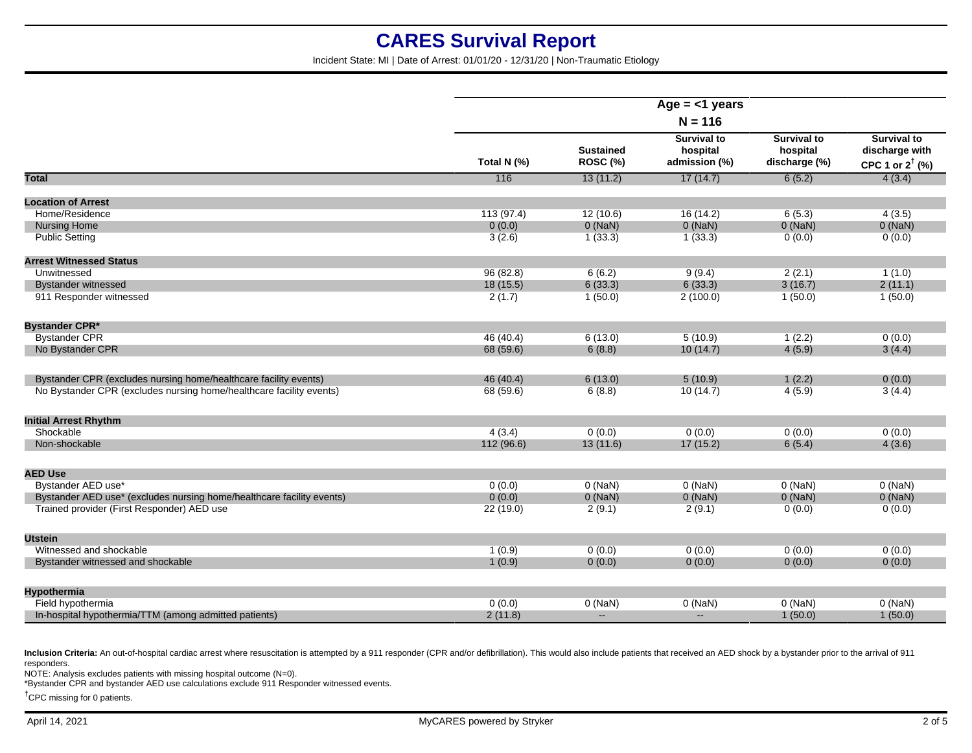Incident State: MI | Date of Arrest: 01/01/20 - 12/31/20 | Non-Traumatic Etiology

|                                                                       | Age $=$ <1 years<br>$N = 116$ |                                     |                                                 |                                                 |                                                                    |
|-----------------------------------------------------------------------|-------------------------------|-------------------------------------|-------------------------------------------------|-------------------------------------------------|--------------------------------------------------------------------|
|                                                                       |                               |                                     |                                                 |                                                 |                                                                    |
|                                                                       | Total N (%)                   | <b>Sustained</b><br><b>ROSC (%)</b> | <b>Survival to</b><br>hospital<br>admission (%) | <b>Survival to</b><br>hospital<br>discharge (%) | <b>Survival to</b><br>discharge with<br>CPC 1 or $2^{\dagger}$ (%) |
| <b>Total</b>                                                          | 116                           | 13(11.2)                            | 17(14.7)                                        | 6(5.2)                                          | 4(3.4)                                                             |
| <b>Location of Arrest</b>                                             |                               |                                     |                                                 |                                                 |                                                                    |
| Home/Residence                                                        | 113(97.4)                     | 12(10.6)                            | 16(14.2)                                        | 6(5.3)                                          | 4(3.5)                                                             |
| <b>Nursing Home</b>                                                   | 0(0.0)                        | $0$ (NaN)                           | $0$ (NaN)                                       | $0$ (NaN)                                       | $0$ (NaN)                                                          |
| <b>Public Setting</b>                                                 | 3(2.6)                        | 1(33.3)                             | 1(33.3)                                         | 0(0.0)                                          | 0(0.0)                                                             |
| <b>Arrest Witnessed Status</b>                                        |                               |                                     |                                                 |                                                 |                                                                    |
| Unwitnessed                                                           | 96(82.8)                      | 6(6.2)                              | 9(9.4)                                          | 2(2.1)                                          | 1(1.0)                                                             |
| <b>Bystander witnessed</b>                                            | 18 (15.5)                     | 6(33.3)                             | 6(33.3)                                         | 3(16.7)                                         | 2(11.1)                                                            |
| 911 Responder witnessed                                               | 2(1.7)                        | 1(50.0)                             | 2(100.0)                                        | 1(50.0)                                         | 1(50.0)                                                            |
| <b>Bystander CPR*</b>                                                 |                               |                                     |                                                 |                                                 |                                                                    |
| <b>Bystander CPR</b>                                                  | 46 (40.4)                     | 6(13.0)                             | 5(10.9)                                         | 1(2.2)                                          | 0(0.0)                                                             |
| No Bystander CPR                                                      | 68 (59.6)                     | 6(8.8)                              | 10(14.7)                                        | 4(5.9)                                          | 3(4.4)                                                             |
| Bystander CPR (excludes nursing home/healthcare facility events)      | 46 (40.4)                     | 6(13.0)                             | 5(10.9)                                         | 1(2.2)                                          | 0(0.0)                                                             |
| No Bystander CPR (excludes nursing home/healthcare facility events)   | 68 (59.6)                     | 6(8.8)                              | 10(14.7)                                        | 4(5.9)                                          | 3(4.4)                                                             |
| <b>Initial Arrest Rhythm</b>                                          |                               |                                     |                                                 |                                                 |                                                                    |
| Shockable                                                             | 4(3.4)                        | 0(0.0)                              | 0(0.0)                                          | 0(0.0)                                          | 0(0.0)                                                             |
| Non-shockable                                                         | 112 (96.6)                    | 13(11.6)                            | 17(15.2)                                        | 6(5.4)                                          | 4(3.6)                                                             |
| <b>AED Use</b>                                                        |                               |                                     |                                                 |                                                 |                                                                    |
| Bystander AED use*                                                    | 0(0.0)                        | $0$ (NaN)                           | $0$ (NaN)                                       | $0$ (NaN)                                       | $0$ (NaN)                                                          |
| Bystander AED use* (excludes nursing home/healthcare facility events) | 0(0.0)                        | $0$ (NaN)                           | $0$ (NaN)                                       | $0$ (NaN)                                       | $0$ (NaN)                                                          |
| Trained provider (First Responder) AED use                            | 22(19.0)                      | 2(9.1)                              | 2(9.1)                                          | 0(0.0)                                          | 0(0.0)                                                             |
| <b>Utstein</b>                                                        |                               |                                     |                                                 |                                                 |                                                                    |
| Witnessed and shockable                                               | 1(0.9)                        | 0(0.0)                              | 0(0.0)                                          | 0(0.0)                                          | 0(0.0)                                                             |
| Bystander witnessed and shockable                                     | 1(0.9)                        | 0(0.0)                              | 0(0.0)                                          | 0(0.0)                                          | 0(0.0)                                                             |
| Hypothermia                                                           |                               |                                     |                                                 |                                                 |                                                                    |
| Field hypothermia                                                     | 0(0.0)                        | $0$ (NaN)                           | $0$ (NaN)                                       | $0$ (NaN)                                       | $0$ (NaN)                                                          |
| In-hospital hypothermia/TTM (among admitted patients)                 | 2(11.8)                       | $\sim$                              | $\sim$                                          | 1(50.0)                                         | 1(50.0)                                                            |

Inclusion Criteria: An out-of-hospital cardiac arrest where resuscitation is attempted by a 911 responder (CPR and/or defibrillation). This would also include patients that received an AED shock by a bystander prior to the responders.

NOTE: Analysis excludes patients with missing hospital outcome (N=0).

\*Bystander CPR and bystander AED use calculations exclude 911 Responder witnessed events.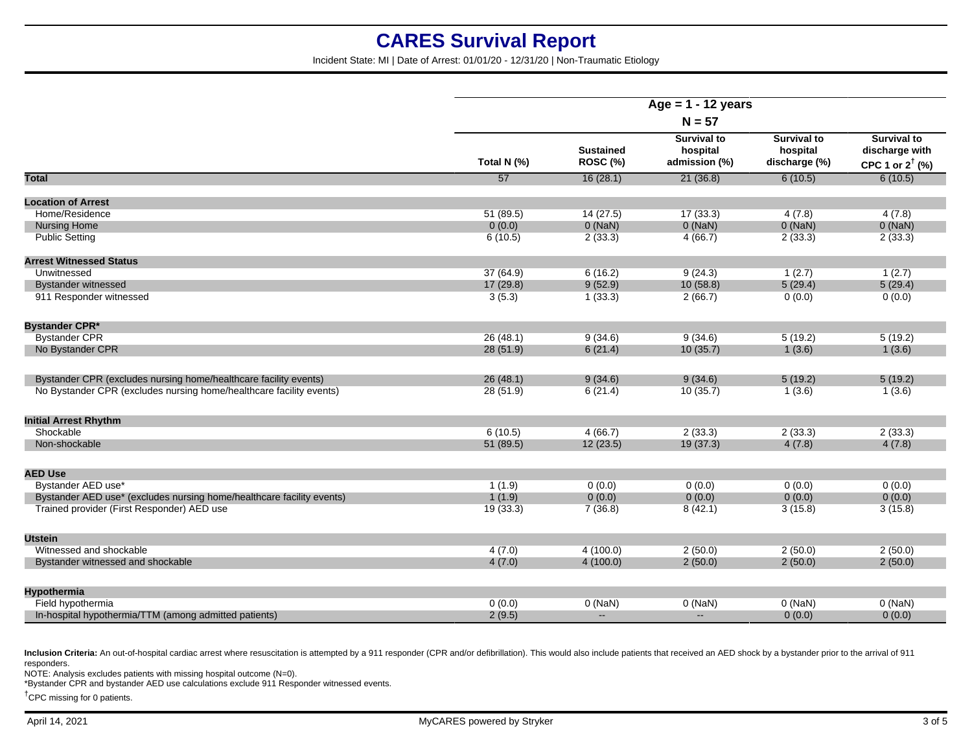Incident State: MI | Date of Arrest: 01/01/20 - 12/31/20 | Non-Traumatic Etiology

|                                                                       | Age = $1 - 12$ years<br>$N = 57$ |                              |                                                 |                                                 |                                                                    |
|-----------------------------------------------------------------------|----------------------------------|------------------------------|-------------------------------------------------|-------------------------------------------------|--------------------------------------------------------------------|
|                                                                       |                                  |                              |                                                 |                                                 |                                                                    |
|                                                                       | Total N (%)                      | <b>Sustained</b><br>ROSC (%) | <b>Survival to</b><br>hospital<br>admission (%) | <b>Survival to</b><br>hospital<br>discharge (%) | <b>Survival to</b><br>discharge with<br>CPC 1 or $2^{\dagger}$ (%) |
| <b>Total</b>                                                          | 57                               | 16(28.1)                     | 21(36.8)                                        | 6(10.5)                                         | 6(10.5)                                                            |
| <b>Location of Arrest</b>                                             |                                  |                              |                                                 |                                                 |                                                                    |
| Home/Residence                                                        | 51(89.5)                         | 14(27.5)                     | 17(33.3)                                        | 4(7.8)                                          | 4(7.8)                                                             |
| <b>Nursing Home</b>                                                   | 0(0.0)                           | $0$ (NaN)                    | $0$ (NaN)                                       | $0$ (NaN)                                       | $0$ (NaN)                                                          |
| <b>Public Setting</b>                                                 | 6(10.5)                          | 2(33.3)                      | 4(66.7)                                         | 2(33.3)                                         | 2(33.3)                                                            |
|                                                                       |                                  |                              |                                                 |                                                 |                                                                    |
| <b>Arrest Witnessed Status</b>                                        |                                  |                              |                                                 |                                                 |                                                                    |
| Unwitnessed                                                           | 37 (64.9)                        | 6(16.2)                      | 9(24.3)                                         | 1(2.7)                                          | 1(2.7)                                                             |
| <b>Bystander witnessed</b>                                            | 17(29.8)                         | 9(52.9)                      | 10(58.8)                                        | 5(29.4)                                         | 5(29.4)                                                            |
| 911 Responder witnessed                                               | 3(5.3)                           | 1(33.3)                      | 2(66.7)                                         | 0(0.0)                                          | 0(0.0)                                                             |
| <b>Bystander CPR*</b>                                                 |                                  |                              |                                                 |                                                 |                                                                    |
| <b>Bystander CPR</b>                                                  | 26(48.1)                         | 9(34.6)                      | 9(34.6)                                         | 5(19.2)                                         | 5(19.2)                                                            |
| No Bystander CPR                                                      | 28 (51.9)                        | 6(21.4)                      | 10(35.7)                                        | 1(3.6)                                          | 1(3.6)                                                             |
|                                                                       |                                  |                              |                                                 |                                                 |                                                                    |
| Bystander CPR (excludes nursing home/healthcare facility events)      | 26(48.1)                         | 9(34.6)                      | 9(34.6)                                         | 5(19.2)                                         | 5(19.2)                                                            |
| No Bystander CPR (excludes nursing home/healthcare facility events)   | 28 (51.9)                        | 6(21.4)                      | 10(35.7)                                        | 1(3.6)                                          | 1(3.6)                                                             |
| <b>Initial Arrest Rhythm</b>                                          |                                  |                              |                                                 |                                                 |                                                                    |
| Shockable                                                             | 6(10.5)                          | 4(66.7)                      | 2(33.3)                                         | 2(33.3)                                         | 2(33.3)                                                            |
| Non-shockable                                                         | 51 (89.5)                        | 12(23.5)                     | 19(37.3)                                        | 4(7.8)                                          | 4(7.8)                                                             |
|                                                                       |                                  |                              |                                                 |                                                 |                                                                    |
| <b>AED Use</b>                                                        |                                  |                              |                                                 |                                                 |                                                                    |
| Bystander AED use*                                                    | 1(1.9)                           | 0(0.0)                       | 0(0.0)                                          | 0(0.0)                                          | 0(0.0)                                                             |
| Bystander AED use* (excludes nursing home/healthcare facility events) | 1(1.9)                           | 0(0.0)                       | 0(0.0)                                          | 0(0.0)                                          | 0(0.0)                                                             |
| Trained provider (First Responder) AED use                            | 19(33.3)                         | 7(36.8)                      | 8(42.1)                                         | 3(15.8)                                         | 3(15.8)                                                            |
| <b>Utstein</b>                                                        |                                  |                              |                                                 |                                                 |                                                                    |
| Witnessed and shockable                                               | 4(7.0)                           | 4(100.0)                     | 2(50.0)                                         | 2(50.0)                                         | 2(50.0)                                                            |
| Bystander witnessed and shockable                                     | 4(7.0)                           | 4(100.0)                     | 2(50.0)                                         | 2(50.0)                                         | 2(50.0)                                                            |
|                                                                       |                                  |                              |                                                 |                                                 |                                                                    |
| Hypothermia                                                           |                                  |                              |                                                 |                                                 |                                                                    |
| Field hypothermia                                                     | 0(0.0)                           | $0$ (NaN)                    | $0$ (NaN)                                       | $0$ (NaN)                                       | $0$ (NaN)                                                          |
| In-hospital hypothermia/TTM (among admitted patients)                 | 2(9.5)                           | $\sim$                       | $\sim$                                          | 0(0.0)                                          | 0(0.0)                                                             |

Inclusion Criteria: An out-of-hospital cardiac arrest where resuscitation is attempted by a 911 responder (CPR and/or defibrillation). This would also include patients that received an AED shock by a bystander prior to the responders.

NOTE: Analysis excludes patients with missing hospital outcome (N=0).

\*Bystander CPR and bystander AED use calculations exclude 911 Responder witnessed events.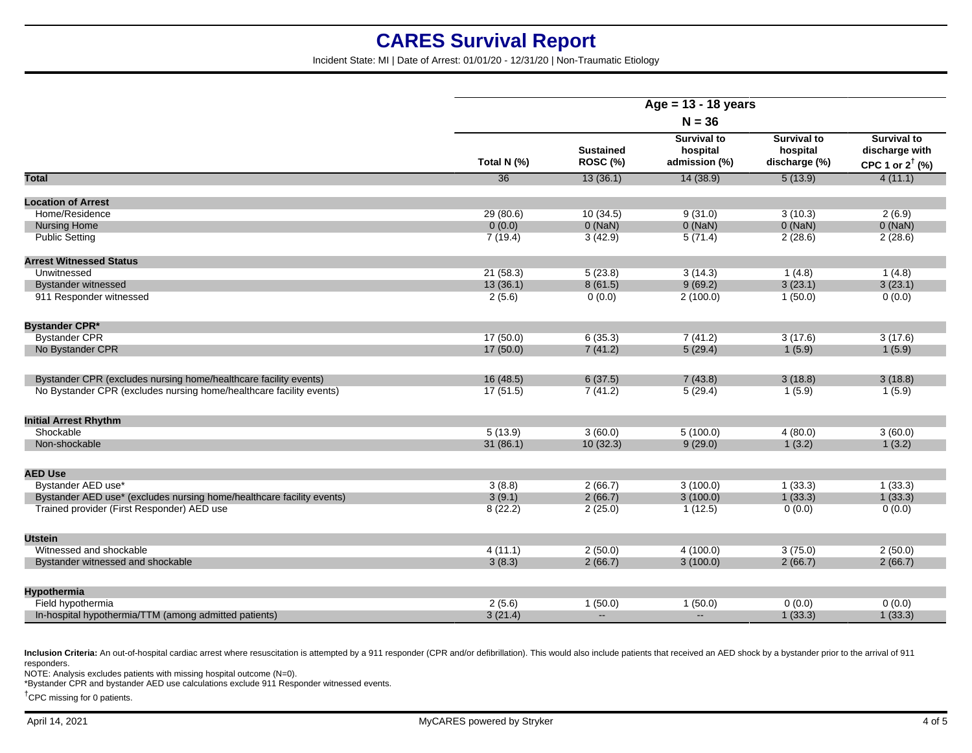Incident State: MI | Date of Arrest: 01/01/20 - 12/31/20 | Non-Traumatic Etiology

|                                                                       | Age = $13 - 18$ years<br>$N = 36$ |                              |                                                 |                                                 |                                                                    |
|-----------------------------------------------------------------------|-----------------------------------|------------------------------|-------------------------------------------------|-------------------------------------------------|--------------------------------------------------------------------|
|                                                                       |                                   |                              |                                                 |                                                 |                                                                    |
|                                                                       | Total N (%)                       | <b>Sustained</b><br>ROSC (%) | <b>Survival to</b><br>hospital<br>admission (%) | <b>Survival to</b><br>hospital<br>discharge (%) | <b>Survival to</b><br>discharge with<br>CPC 1 or $2^{\dagger}$ (%) |
| Total                                                                 | $\overline{36}$                   | 13(36.1)                     | 14(38.9)                                        | 5(13.9)                                         | 4(11.1)                                                            |
| <b>Location of Arrest</b>                                             |                                   |                              |                                                 |                                                 |                                                                    |
| Home/Residence                                                        | 29(80.6)                          | 10(34.5)                     | 9(31.0)                                         | 3(10.3)                                         | 2(6.9)                                                             |
| <b>Nursing Home</b>                                                   | 0(0.0)                            | $0$ (NaN)                    | $0$ (NaN)                                       | $0$ (NaN)                                       | $0$ (NaN)                                                          |
| <b>Public Setting</b>                                                 | 7(19.4)                           | 3(42.9)                      | 5(71.4)                                         | 2(28.6)                                         | 2(28.6)                                                            |
| <b>Arrest Witnessed Status</b>                                        |                                   |                              |                                                 |                                                 |                                                                    |
| Unwitnessed                                                           | 21(58.3)                          | 5(23.8)                      | 3(14.3)                                         | 1(4.8)                                          | 1(4.8)                                                             |
| <b>Bystander witnessed</b>                                            | 13(36.1)                          | 8(61.5)                      | 9(69.2)                                         | 3(23.1)                                         | 3(23.1)                                                            |
| 911 Responder witnessed                                               | 2(5.6)                            | 0(0.0)                       | 2(100.0)                                        | 1(50.0)                                         | 0(0.0)                                                             |
| <b>Bystander CPR*</b>                                                 |                                   |                              |                                                 |                                                 |                                                                    |
| <b>Bystander CPR</b>                                                  | 17(50.0)                          | 6(35.3)                      | 7(41.2)                                         | 3(17.6)                                         | 3(17.6)                                                            |
| No Bystander CPR                                                      | 17(50.0)                          | 7(41.2)                      | 5(29.4)                                         | 1(5.9)                                          | 1(5.9)                                                             |
| Bystander CPR (excludes nursing home/healthcare facility events)      | 16(48.5)                          | 6(37.5)                      | 7(43.8)                                         | 3(18.8)                                         | 3(18.8)                                                            |
| No Bystander CPR (excludes nursing home/healthcare facility events)   | 17(51.5)                          | 7(41.2)                      | 5(29.4)                                         | 1(5.9)                                          | 1(5.9)                                                             |
| <b>Initial Arrest Rhythm</b>                                          |                                   |                              |                                                 |                                                 |                                                                    |
| Shockable                                                             | 5(13.9)                           | 3(60.0)                      | 5(100.0)                                        | 4(80.0)                                         | 3(60.0)                                                            |
| Non-shockable                                                         | 31(86.1)                          | 10(32.3)                     | 9(29.0)                                         | 1(3.2)                                          | 1(3.2)                                                             |
| <b>AED Use</b>                                                        |                                   |                              |                                                 |                                                 |                                                                    |
| Bystander AED use*                                                    | 3(8.8)                            | 2(66.7)                      | 3(100.0)                                        | 1(33.3)                                         | 1(33.3)                                                            |
| Bystander AED use* (excludes nursing home/healthcare facility events) | 3(9.1)                            | 2(66.7)                      | 3(100.0)                                        | 1(33.3)                                         | 1(33.3)                                                            |
| Trained provider (First Responder) AED use                            | 8(22.2)                           | 2(25.0)                      | 1(12.5)                                         | 0(0.0)                                          | 0(0.0)                                                             |
| <b>Utstein</b>                                                        |                                   |                              |                                                 |                                                 |                                                                    |
| Witnessed and shockable                                               | 4(11.1)                           | 2(50.0)                      | 4(100.0)                                        | 3(75.0)                                         | 2(50.0)                                                            |
| Bystander witnessed and shockable                                     | 3(8.3)                            | 2(66.7)                      | 3(100.0)                                        | 2(66.7)                                         | 2(66.7)                                                            |
| <b>Hypothermia</b>                                                    |                                   |                              |                                                 |                                                 |                                                                    |
| Field hypothermia                                                     | 2(5.6)                            | 1(50.0)                      | 1(50.0)                                         | 0(0.0)                                          | 0(0.0)                                                             |
| In-hospital hypothermia/TTM (among admitted patients)                 | 3(21.4)                           | $\mathbf{u}$                 | $\sim$                                          | 1(33.3)                                         | 1(33.3)                                                            |
|                                                                       |                                   |                              |                                                 |                                                 |                                                                    |

Inclusion Criteria: An out-of-hospital cardiac arrest where resuscitation is attempted by a 911 responder (CPR and/or defibrillation). This would also include patients that received an AED shock by a bystander prior to the responders.

NOTE: Analysis excludes patients with missing hospital outcome (N=0).

\*Bystander CPR and bystander AED use calculations exclude 911 Responder witnessed events.